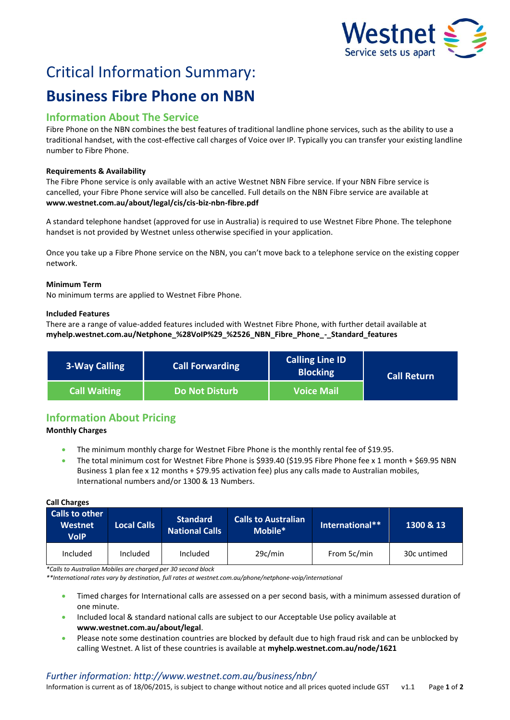

# Critical Information Summary:

## **Business Fibre Phone on NBN**

## **Information About The Service**

Fibre Phone on the NBN combines the best features of traditional landline phone services, such as the ability to use a traditional handset, with the cost-effective call charges of Voice over IP. Typically you can transfer your existing landline number to Fibre Phone.

#### **Requirements & Availability**

The Fibre Phone service is only available with an active Westnet NBN Fibre service. If your NBN Fibre service is cancelled, your Fibre Phone service will also be cancelled. Full details on the NBN Fibre service are available at **www.westnet.com.au/about/legal/cis/cis-biz-nbn-fibre.pdf**

A standard telephone handset (approved for use in Australia) is required to use Westnet Fibre Phone. The telephone handset is not provided by Westnet unless otherwise specified in your application.

Once you take up a Fibre Phone service on the NBN, you can't move back to a telephone service on the existing copper network.

#### **Minimum Term**

No minimum terms are applied to Westnet Fibre Phone.

#### **Included Features**

There are a range of value-added features included with Westnet Fibre Phone, with further detail available at **myhelp.westnet.com.au/Netphone\_%28VoIP%29\_%2526\_NBN\_Fibre\_Phone\_-\_Standard\_features**

| <b>3-Way Calling</b> | <b>Call Forwarding</b> | <b>Calling Line ID</b><br><b>Blocking</b> | <b>Call Return</b> |
|----------------------|------------------------|-------------------------------------------|--------------------|
| <b>Call Waiting</b>  | <b>Do Not Disturb</b>  | <b>Voice Mail</b>                         |                    |

## **Information About Pricing**

#### **Monthly Charges**

- The minimum monthly charge for Westnet Fibre Phone is the monthly rental fee of \$19.95.
- The total minimum cost for Westnet Fibre Phone is \$939.40 (\$19.95 Fibre Phone fee x 1 month + \$69.95 NBN Business 1 plan fee x 12 months + \$79.95 activation fee) plus any calls made to Australian mobiles, International numbers and/or 1300 & 13 Numbers.

#### **Call Charges**

| <b>Calls to other</b><br><b>Westnet</b><br>VoIP | <b>Local Calls</b> | <b>Standard</b><br>National Calls | <b>Calls to Australian</b><br>Mobile* | International** | 1300 & 13   |
|-------------------------------------------------|--------------------|-----------------------------------|---------------------------------------|-----------------|-------------|
| Included                                        | Included           | Included                          | 29c/min                               | From 5c/min     | 30c untimed |

*\*Calls to Australian Mobiles are charged per 30 second block*

*\*\*International rates vary by destination, full rates at westnet.com.au/phone/netphone-voip/international*

- Timed charges for International calls are assessed on a per second basis, with a minimum assessed duration of one minute.
- Included local & standard national calls are subject to our Acceptable Use policy available at **www.westnet.com.au/about/legal**.
- Please note some destination countries are blocked by default due to high fraud risk and can be unblocked by calling Westnet. A list of these countries is available at **myhelp.westnet.com.au/node/1621**